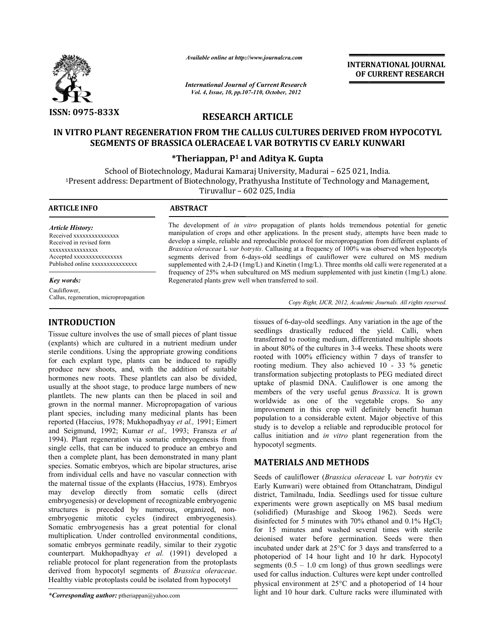

*Available online at http://www.journalcra.com*

*International Journal of Current Research Vol. ternational 4, Issue, 10, pp.107-110, October, <sup>2012</sup>*

**INTERNATIONAL JOURNAL OF CURRENT RESEARCH** 

# **RESEARCH ARTICLE**

# **IN VITRO PLANT REGENERATION FROM THE CALLUS CULTURES DERIVED FROM HYPOCOTYL**  ) PLANT REGENERATION FROM THE CALLUS CULTURES DERIVED FROM HYF<br>SEGMENTS OF BRASSICA OLERACEAE L VAR BOTRYTIS CV EARLY KUNWARI

## **\*Theriappan, P**

School of Biotechnology, Madurai Kamarai University, Madurai – 625 021, India.

School of Biotechnology, Madurai Kamaraj University, Madurai 1Present address: Department of Biotechnology, Prathyusha Institute of Technology and Management, Present address: Department of Biotechnology, Prathyusha Inst<br>Tiruvallur – 602 025, India

Tiruvallur - 602 025, India

| <b>ARTICLE INFO</b> |  |
|---------------------|--|
|                     |  |

## **ABSTRACT**

*Article History:* Received xxxxxxxxxxxxxx Received in revised form xxxxxxxxxxxxxxxx Accepted xxxxxxxxxxxxxxxx Published online xxxxxxxxxxxxxx

*Key words:*

Cauliflower, Callus, regeneration, micropropagation

## **INTRODUCTION**

Tissue culture involves the use of small pieces of plant tissue (explants) which are cultured in a nutrient medium under sterile conditions. Using the appropriate growing conditions for each explant type, plants can be induced to rapidly produce new shoots, and, with the addition of suitable hormones new roots. These plantlets can also be divided, usually at the shoot stage, to produce large numbers of new plantlets. The new plants can then be placed in soil and grown in the normal manner. Micropropagation of various plant species, including many medicinal plants has been reported (Haccius, 1978; Mukhopadhyay *et al.,* and Seigmund, 1992; Kumar *et al.*, 1993; Fransza *et al* 1994). Plant regeneration via somatic embryogenesis from single cells, that can be induced to produce an embryo and then a complete plant, has been demonstrated in many plant species. Somatic embryos, which are bipolar structures, arise from individual cells and have no vascular connection with the maternal tissue of the explants (Haccius, 1978). Embryos may develop directly from somatic cells (direct embryogenesis) or development of recognizable embryogenic structures is preceded by numerous, organized, nonembryogenic mitotic cycles (indirect embryogenesis). Somatic embryogenesis has a great potential for clonal multiplication. Under controlled environmental conditions, somatic embryos germinate readily, similar to their zygotic counterpart. Mukhopadhyay *et al.* (1991) developed a reliable protocol for plant regeneration from the protoplasts derived from hypocotyl segments of *Brassica oleraceae* Healthy viable protoplasts could be isolated from hypocotyl the use of small pieces of plant tissue<br>cultured in a nutrient medium under<br>g the appropriate growing conditions<br>i, plants can be induced to rapidly<br>and, with the addition of suitable<br>These plantlets can also be divided,<br> 1994). Plant regeneration via somatic embryogenesis from<br>single cells, that can be induced to produce an embryo and<br>then a complete plant, has been demonstrated in many plant<br>species. Somatic embryos, which are bipolar str embryogenesis). embryogenesis). embryogenesis has a great potential for clonal ation. Under controlled environmental conditions, embryos germinate readily, similar to their zygotic art. Mukhopadhyay *et al.* (1991) develop

*\*Corresponding author:* ptheriappan@yahoo.com

The development of *in vitro* propagation of plants holds tremendous potential for genetic manipulation of crops and other applications. In the present study, attempts have been made to The development of *in vitro* propagation of plants holds tremendous potential for genetic manipulation of crops and other applications. In the present study, attempts have been made to develop a simple, reliable and repro *Brassica oleraceae* L *var botrytis*. Callusing at a frequency of 100% was observed when hypocotyls segments derived from 6 6-days-old seedlings of cauliflower were cultured on MS medium *Brassica oleraceae* L *var botrytis*. Callusing at a frequency of 100% was observed when hypocotyls segments derived from 6-days-old seedlings of cauliflower were cultured on MS medium supplemented with 2,4-D (1mg/L) and frequency of 25% when subcultured on MS medium supplemented with just kinetin (1mg/L) alone. Regenerated plants grew well when transferred to soil.

Copy Right, IJCR, 2012, Academic Journals. All rights reserved.

issues of 6-day-old seedlings. Any variation in the age of the<br>
dum under<br>
transferred to rooting medium, differentiated multiple shoots<br>
are seedlings drastically reduced the yield. Calli, when<br>
to rapidy rooted with 100 seedlings drastically reduced the yield. Calli, when transferred to rooting medium, differentiated multiple shoots in about 80% of the cultures in 3-4 weeks. These shoots were rooted with 100% efficiency within 7 days of transfer to rooting medium. They also achieved 10 - 33 % genetic transformation subjecting protoplasts to PEG mediated direct uptake of plasmid DNA. Cauliflower is one among the members of the very useful genus *Brassica*. It is grown worldwide as one of the vegetable crops. So any improvement in this crop will definitely benefit human population to a considerable extent. Major objective of this study is to develop a reliable and reproducible protocol for callus initiation and *in vitro* plant regeneration from the hypocotyl segments. f 6-day-old seedlings. Any variation in the age of the<br>s drastically reduced the yield. Calli, when<br>ed to rooting medium, differentiated multiple shoots<br>80% of the cultures in 3-4 weeks. These shoots were<br>with 100% efficie **INTERNATIONAL JOURNAL**<br> **EVALUATE CONSTRATE CONSTRATE CONSTRATE CONSTRATE CONSTRATE CONSTRATE CONSTRATE CONSTRATE CONSTRATE CONSTRATE CONSTRATE AND CONSTRATE AND INTERNATION AND analysis that is interest and the present** 

## **MATERIALS AND METHODS**

Seeds of cauliflower (*Brassica oleraceae* L *var botrytis* cv Early Kunwari) were obtained from Ottanchatram, Dindigul district, Tamilnadu, India. Seedlings used for tissue culture experiments were grown aseptically on MS basal medium (solidified) (Murashige and Skoog 1962). Seeds were disinfected for 5 minutes with 70% ethanol and 0.1% HgCl<sub>2</sub> for 15 minutes and washed several times with sterile deionised water before germination. Seeds were then incubated under dark at  $25^{\circ}$ C for 3 days and transferred to a photoperiod of 14 hour light and 10 hr dark. Hypocotyl segments  $(0.5 - 1.0 \text{ cm long})$  of thus grown seedlings were used for callus induction. Cultures were kept under controlled physical environment at  $25^{\circ}$ C and a photoperiod of 14 hour light and 10 hour dark. Culture racks were illuminated with obtained from Ottanchatram, Dindigul<br>ndia. Seedlings used for tissue culture<br>wn aseptically on MS basal medium<br>ge and Skoog 1962). Seeds were<br>tes with 70% ethanol and 0.1% HgCl<sub>2</sub>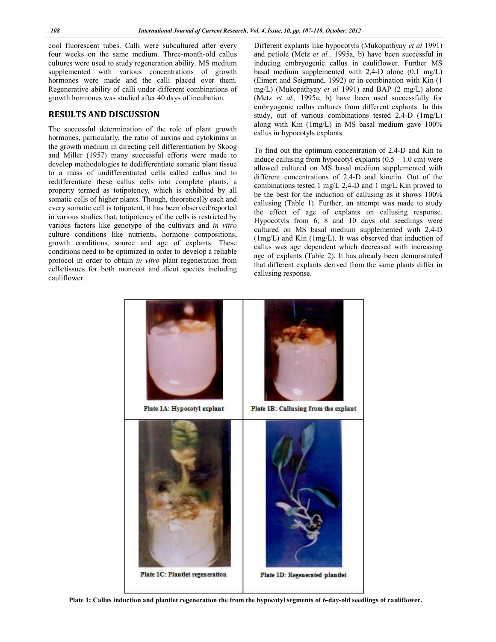cool fluorescent tubes. Calli were subcultured after every four weeks on the same medium. Three-month-old callus cultures were used to study regeneration ability. MS medium supplemented with various concentrations of growth hormones were made and the calli placed over them. Regenerative ability of calli under different combinations of growth hormones was studied after 40 days of incubation.

### **RESULTS AND DISCUSSION**

The successful determination of the role of plant growth hormones, particularly, the ratio of auxins and cytokinins in the growth medium in directing cell differentiation by Skoog and Miller (1957) many successful efforts were made to develop methodologies to dedifferentiate somatic plant tissue to a mass of undifferentiated cells called callus and to redifferentiate these callus cells into complete plants, a property termed as totipotency, which is exhibited by all somatic cells of higher plants. Though, theoretically each and every somatic cell is totipotent, it has been observed/reported in various studies that, totipotency of the cells is restricted by various factors like genotype of the cultivars and *in vitro* culture conditions like nutrients, hormone compositions, growth conditions, source and age of explants. These conditions need to be optimized in order to develop a reliable protocol in order to obtain *in vitro* plant regeneration from cells/tissues for both monocot and dicot species including cauliflower.

Different explants like hypocotyls (Mukopathyay *et al* 1991) and petiole (Metz *et al.,* 1995a, b) have been successful in inducing embryogenic callus in cauliflower. Further MS basal medium supplemented with 2,4-D alone (0.1 mg/L) (Eimert and Seigmund, 1992) or in combination with Kin (1 mg/L) (Mukopathyay *et al* 1991) and BAP (2 mg/L) alone (Metz *et al.,* 1995a, b) have been used successfully for embryogenic callus cultures from different explants. In this study, out of various combinations tested 2,4-D (1mg/L) along with Kin (1mg/L) in MS basal medium gave 100% callus in hypocotyls explants.

To find out the optimum concentration of 2,4-D and Kin to induce callusing from hypocotyl explants  $(0.5 - 1.0 \text{ cm})$  were allowed cultured on MS basal medium supplemented with different concentrations of 2,4-D and kinetin. Out of the combinations tested 1 mg/L 2,4-D and 1 mg/L Kin proved to be the best for the induction of callusing as it shows 100% callusing (Table 1). Further, an attempt was made to study the effect of age of explants on callusing response. Hypocotyls from 6, 8 and 10 days old seedlings were cultured on MS basal medium supplemented with 2,4-D (1mg/L) and Kin (1mg/L). It was observed that induction of callus was age dependent which decreased with increasing age of explants (Table 2). It has already been demonstrated that different explants derived from the same plants differ in callusing response.



**Plate 1: Callus induction and plantlet regeneration the from the hypocotyl segments of 6-day-old seedlings of cauliflower.**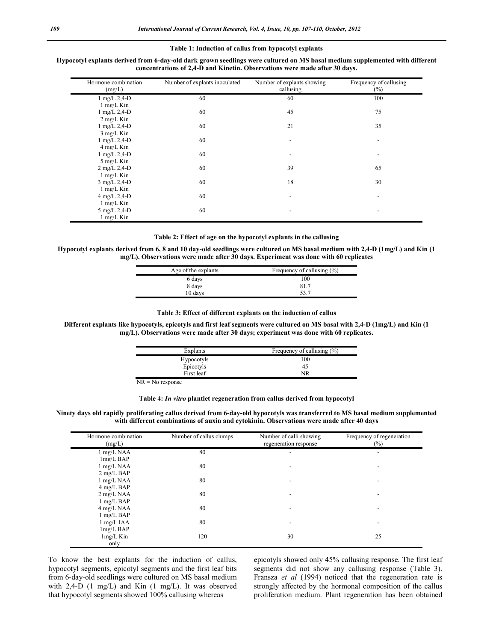#### **Table 1: Induction of callus from hypocotyl explants**

#### **Hypocotyl explants derived from 6-day-old dark grown seedlings were cultured on MS basal medium supplemented with different concentrations of 2,4-D and Kinetin. Observations were made after 30 days.**

| Hormone combination<br>(mg/L) | Number of explants inoculated | Number of explants showing<br>callusing | Frequency of callusing<br>$(\%)$ |
|-------------------------------|-------------------------------|-----------------------------------------|----------------------------------|
| $1$ mg/L 2,4-D                | 60                            | 60                                      | 100                              |
| 1 mg/L Kin                    |                               |                                         |                                  |
| $1$ mg/L 2,4-D                | 60                            | 45                                      | 75                               |
| $2$ mg/L Kin                  |                               |                                         |                                  |
| $1$ mg/L 2,4-D                | 60                            | 21                                      | 35                               |
| 3 mg/L Kin                    |                               |                                         |                                  |
| $1$ mg/L 2,4-D                | 60                            | $\overline{\phantom{a}}$                |                                  |
| 4 mg/L Kin                    |                               |                                         |                                  |
| $1$ mg/L 2,4-D                | 60                            | $\overline{\phantom{a}}$                | -                                |
| 5 mg/L Kin                    |                               |                                         |                                  |
| $2$ mg/L $2,4$ -D             | 60                            | 39                                      | 65                               |
| 1 mg/L Kin                    |                               |                                         |                                  |
| 3 mg/L 2,4-D                  | 60                            | 18                                      | 30                               |
| $1$ mg/L Kin                  |                               |                                         |                                  |
| 4 mg/L 2,4-D                  | 60                            |                                         |                                  |
| $1$ mg/L Kin                  |                               |                                         |                                  |
| 5 mg/L 2,4-D                  | 60                            |                                         |                                  |
| $1$ mg/L Kin                  |                               |                                         |                                  |

#### **Table 2: Effect of age on the hypocotyl explants in the callusing**

**Hypocotyl explants derived from 6, 8 and 10 day-old seedlings were cultured on MS basal medium with 2,4-D (1mg/L) and Kin (1 mg/L). Observations were made after 30 days. Experiment was done with 60 replicates**

| Age of the explants | Frequency of callusing $(\% )$ |
|---------------------|--------------------------------|
| 6 days              | 100                            |
| 8 days              | 81.7                           |
| 10 days             |                                |
|                     |                                |

#### **Table 3: Effect of different explants on the induction of callus**

**Different explants like hypocotyls, epicotyls and first leaf segments were cultured on MS basal with 2,4-D (1mg/L) and Kin (1 mg/L). Observations were made after 30 days; experiment was done with 60 replicates.**

| Explants          | Frequency of callusing $(\% )$ |
|-------------------|--------------------------------|
| <b>Hypocotyls</b> | 100                            |
| Epicotyls         | 45                             |
| First leaf        | NR                             |
| $ -$<br>- -       |                                |

NR = No response

**Table 4:** *In vitro* **plantlet regeneration from callus derived from hypocotyl**

**Ninety days old rapidly proliferating callus derived from 6-day-old hypocotyls was transferred to MS basal medium supplemented with different combinations of auxin and cytokinin. Observations were made after 40 days**

| Hormone combination<br>(mg/L) | Number of callus clumps | Number of calli showing<br>regeneration response | Frequency of regeneration<br>$(\%)$ |
|-------------------------------|-------------------------|--------------------------------------------------|-------------------------------------|
| 1 mg/L NAA                    | 80                      |                                                  |                                     |
| $lmg/L$ BAP                   |                         |                                                  |                                     |
| 1 mg/L NAA                    | 80                      |                                                  |                                     |
| $2 \text{ mg/L }$ BAP         |                         |                                                  |                                     |
| 1 mg/L NAA                    | 80                      |                                                  |                                     |
| 4 mg/L BAP                    |                         |                                                  |                                     |
| 2 mg/L NAA                    | 80                      |                                                  |                                     |
| 1 mg/L BAP                    |                         |                                                  |                                     |
| 4 mg/L NAA                    | 80                      |                                                  |                                     |
| 1 mg/L BAP                    |                         |                                                  |                                     |
| 1 mg/L IAA                    | 80                      |                                                  |                                     |
| $lmg/L$ BAP                   |                         |                                                  |                                     |
| $lmg/L$ Kin                   | 120                     | 30                                               | 25                                  |
| only                          |                         |                                                  |                                     |

To know the best explants for the induction of callus, hypocotyl segments, epicotyl segments and the first leaf bits from 6-day-old seedlings were cultured on MS basal medium with 2,4-D (1 mg/L) and Kin (1 mg/L). It was observed that hypocotyl segments showed 100% callusing whereas

epicotyls showed only 45% callusing response. The first leaf segments did not show any callusing response (Table 3). Fransza *et al* (1994) noticed that the regeneration rate is strongly affected by the hormonal composition of the callus proliferation medium. Plant regeneration has been obtained